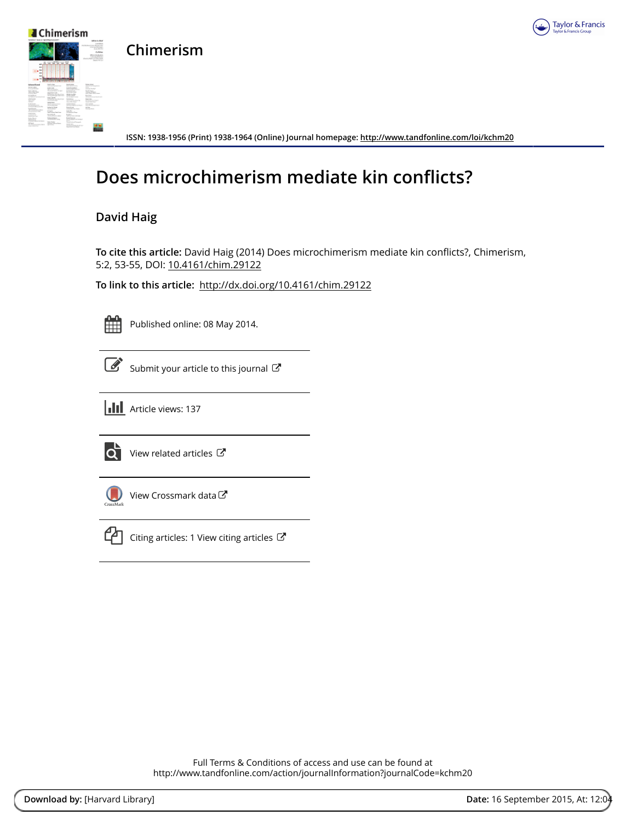



**Chimerism**

**ISSN: 1938-1956 (Print) 1938-1964 (Online) Journal homepage:<http://www.tandfonline.com/loi/kchm20>**

# **Does microchimerism mediate kin conflicts?**

### **David Haig**

**To cite this article:** David Haig (2014) Does microchimerism mediate kin conflicts?, Chimerism, 5:2, 53-55, DOI: [10.4161/chim.29122](http://www.tandfonline.com/action/showCitFormats?doi=10.4161/chim.29122)

**To link to this article:** <http://dx.doi.org/10.4161/chim.29122>

Published online: 08 May 2014.

 $\hat{S}$  [Submit your article to this journal](http://www.tandfonline.com/action/authorSubmission?journalCode=kchm20&page=instructions)  $\mathbb{Z}^{\bullet}$ 





 $\overrightarrow{Q}$  [View related articles](http://www.tandfonline.com/doi/mlt/10.4161/chim.29122)  $\overrightarrow{C}$ 



[View Crossmark data](http://crossmark.crossref.org/dialog/?doi=10.4161/chim.29122&domain=pdf&date_stamp=2014-05-08)



 $\Box$  [Citing articles: 1 View citing articles](http://www.tandfonline.com/doi/citedby/10.4161/chim.29122#tabModule)  $\Box$ 

Full Terms & Conditions of access and use can be found at <http://www.tandfonline.com/action/journalInformation?journalCode=kchm20>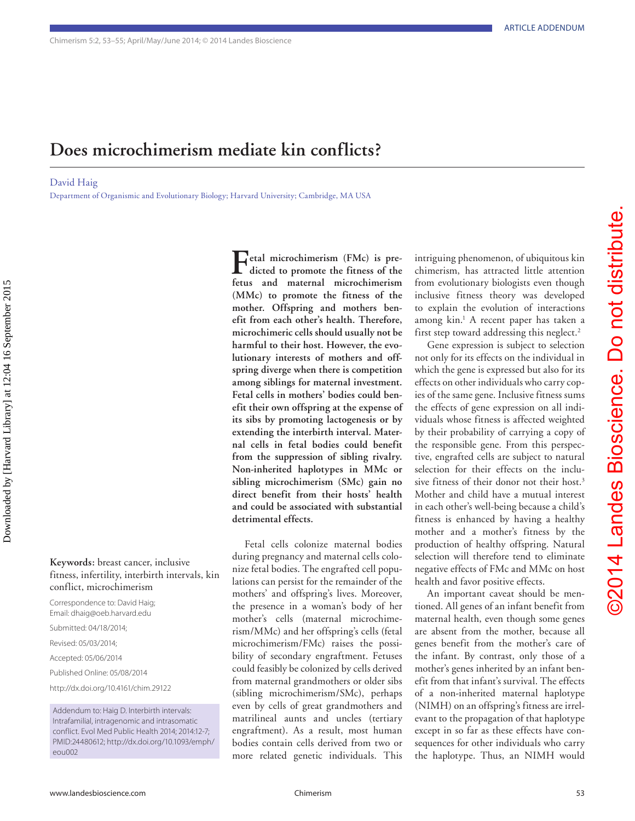## **Does microchimerism mediate kin conflicts?**

David Haig Department of Organismic and Evolutionary Biology; Harvard University; Cambridge, MA USA

**Keywords:** breast cancer, inclusive fitness, infertility, interbirth intervals, kin conflict, microchimerism

Correspondence to: David Haig; Email: dhaig@oeb.harvard.edu

Submitted: 04/18/2014;

Revised: 05/03/2014;

Accepted: 05/06/2014

Published Online: 05/08/2014

http://dx.doi.org/10.4161/chim.29122

Addendum to: Haig D. Interbirth intervals: Intrafamilial, intragenomic and intrasomatic conflict. Evol Med Public Health 2014; 2014:12-7; PMID:24480612; http://dx.doi.org/10.1093/emph/ eou002

**Fetal microchimerism (FMc) is predicted to promote the fitness of the fetus and maternal microchimerism (MMc) to promote the fitness of the mother. Offspring and mothers benefit from each other's health. Therefore, microchimeric cells should usually not be harmful to their host. However, the evolutionary interests of mothers and offspring diverge when there is competition among siblings for maternal investment. Fetal cells in mothers' bodies could benefit their own offspring at the expense of its sibs by promoting lactogenesis or by extending the interbirth interval. Maternal cells in fetal bodies could benefit from the suppression of sibling rivalry. Non-inherited haplotypes in MMc or sibling microchimerism (SMc) gain no direct benefit from their hosts' health and could be associated with substantial detrimental effects. Exact microschimetive (FMe)** is pre-<br>integraing pharometers, of distiputions kin distribute is and material microchimetive from the chination has a<br>reacted little at entropy was developed by  $\frac{1}{2}$  and mother of the<br>i

Fetal cells colonize maternal bodies during pregnancy and maternal cells colonize fetal bodies. The engrafted cell populations can persist for the remainder of the mothers' and offspring's lives. Moreover, the presence in a woman's body of her mother's cells (maternal microchimerism/MMc) and her offspring's cells (fetal microchimerism/FMc) raises the possibility of secondary engraftment. Fetuses could feasibly be colonized by cells derived from maternal grandmothers or older sibs (sibling microchimerism/SMc), perhaps even by cells of great grandmothers and matrilineal aunts and uncles (tertiary engraftment). As a result, most human bodies contain cells derived from two or more related genetic individuals. This

intriguing phenomenon, of ubiquitous kin chimerism, has attracted little attention from evolutionary biologists even though inclusive fitness theory was developed to explain the evolution of interactions among kin.1 A recent paper has taken a first step toward addressing this neglect.<sup>2</sup>

Gene expression is subject to selection not only for its effects on the individual in which the gene is expressed but also for its effects on other individuals who carry copies of the same gene. Inclusive fitness sums the effects of gene expression on all individuals whose fitness is affected weighted by their probability of carrying a copy of the responsible gene. From this perspective, engrafted cells are subject to natural selection for their effects on the inclusive fitness of their donor not their host.<sup>3</sup> Mother and child have a mutual interest in each other's well-being because a child's fitness is enhanced by having a healthy mother and a mother's fitness by the production of healthy offspring. Natural selection will therefore tend to eliminate negative effects of FMc and MMc on host health and favor positive effects.

An important caveat should be mentioned. All genes of an infant benefit from maternal health, even though some genes are absent from the mother, because all genes benefit from the mother's care of the infant. By contrast, only those of a mother's genes inherited by an infant benefit from that infant's survival. The effects of a non-inherited maternal haplotype (NIMH) on an offspring's fitness are irrelevant to the propagation of that haplotype except in so far as these effects have consequences for other individuals who carry the haplotype. Thus, an NIMH would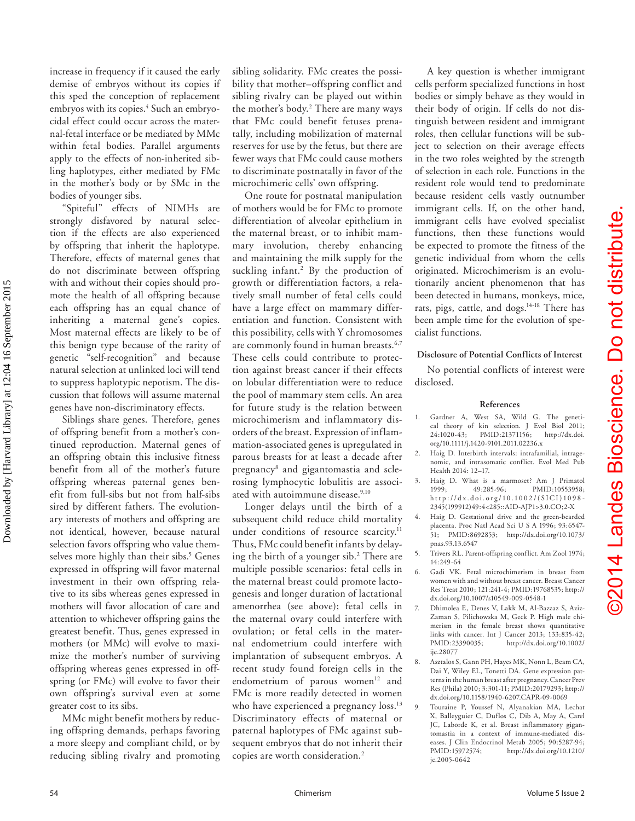increase in frequency if it caused the early demise of embryos without its copies if this sped the conception of replacement embryos with its copies.<sup>4</sup> Such an embryocidal effect could occur across the maternal-fetal interface or be mediated by MMc within fetal bodies. Parallel arguments apply to the effects of non-inherited sibling haplotypes, either mediated by FMc in the mother's body or by SMc in the bodies of younger sibs.

"Spiteful" effects of NIMHs are strongly disfavored by natural selection if the effects are also experienced by offspring that inherit the haplotype. Therefore, effects of maternal genes that do not discriminate between offspring with and without their copies should promote the health of all offspring because each offspring has an equal chance of inheriting a maternal gene's copies. Most maternal effects are likely to be of this benign type because of the rarity of genetic "self-recognition" and because natural selection at unlinked loci will tend to suppress haplotypic nepotism. The discussion that follows will assume maternal genes have non-discriminatory effects.

Siblings share genes. Therefore, genes of offspring benefit from a mother's continued reproduction. Maternal genes of an offspring obtain this inclusive fitness benefit from all of the mother's future offspring whereas paternal genes benefit from full-sibs but not from half-sibs sired by different fathers. The evolutionary interests of mothers and offspring are not identical, however, because natural selection favors offspring who value themselves more highly than their sibs.<sup>5</sup> Genes expressed in offspring will favor maternal investment in their own offspring relative to its sibs whereas genes expressed in mothers will favor allocation of care and attention to whichever offspring gains the greatest benefit. Thus, genes expressed in mothers (or MMc) will evolve to maximize the mother's number of surviving offspring whereas genes expressed in offspring (or FMc) will evolve to favor their own offspring's survival even at some greater cost to its sibs.

MMc might benefit mothers by reducing offspring demands, perhaps favoring a more sleepy and compliant child, or by reducing sibling rivalry and promoting sibling solidarity. FMc creates the possibility that mother–offspring conflict and sibling rivalry can be played out within the mother's body.2 There are many ways that FMc could benefit fetuses prenatally, including mobilization of maternal reserves for use by the fetus, but there are fewer ways that FMc could cause mothers to discriminate postnatally in favor of the microchimeric cells' own offspring.

One route for postnatal manipulation of mothers would be for FMc to promote differentiation of alveolar epithelium in the maternal breast, or to inhibit mammary involution, thereby enhancing and maintaining the milk supply for the suckling infant.<sup>2</sup> By the production of growth or differentiation factors, a relatively small number of fetal cells could have a large effect on mammary differentiation and function. Consistent with this possibility, cells with Y chromosomes are commonly found in human breasts.<sup>6,7</sup> These cells could contribute to protection against breast cancer if their effects on lobular differentiation were to reduce the pool of mammary stem cells. An area for future study is the relation between microchimerism and inflammatory disorders of the breast. Expression of inflammation-associated genes is upregulated in parous breasts for at least a decade after pregnancy<sup>8</sup> and gigantomastia and sclerosing lymphocytic lobulitis are associated with autoimmune disease.<sup>9,10</sup> spectral different interest of the collection of the collection in mappen cells have colled with the collection of the collection of the collection of the collection of the collection of the collection of the collection o

Longer delays until the birth of a subsequent child reduce child mortality under conditions of resource scarcity.<sup>11</sup> Thus, FMc could benefit infants by delaying the birth of a younger sib.2 There are multiple possible scenarios: fetal cells in the maternal breast could promote lactogenesis and longer duration of lactational amenorrhea (see above); fetal cells in the maternal ovary could interfere with ovulation; or fetal cells in the maternal endometrium could interfere with implantation of subsequent embryos. A recent study found foreign cells in the endometrium of parous women $12$  and FMc is more readily detected in women who have experienced a pregnancy loss.<sup>13</sup> Discriminatory effects of maternal or paternal haplotypes of FMc against subsequent embryos that do not inherit their copies are worth consideration.2

A key question is whether immigrant cells perform specialized functions in host bodies or simply behave as they would in their body of origin. If cells do not distinguish between resident and immigrant roles, then cellular functions will be subject to selection on their average effects in the two roles weighted by the strength of selection in each role. Functions in the resident role would tend to predominate because resident cells vastly outnumber immigrant cells. If, on the other hand, immigrant cells have evolved specialist functions, then these functions would be expected to promote the fitness of the genetic individual from whom the cells originated. Microchimerism is an evolutionarily ancient phenomenon that has been detected in humans, monkeys, mice, rats, pigs, cattle, and dogs.<sup>14-18</sup> There has been ample time for the evolution of specialist functions.

### **Disclosure of Potential Conflicts of Interest**

No potential conflicts of interest were disclosed.

#### **References**

- 1. Gardner A, West SA, Wild G. The genetical theory of kin selection. J Evol Biol 2011;<br>24:1020-43; PMID:21371156; http://dx.doi. 24:1020-43; PMID:21371156; org/10.1111/j.1420-9101.2011.02236.x
- Haig D. Interbirth intervals: intrafamilial, intragenomic, and intrasomatic conflict. Evol Med Pub Health 2014: 12–17.
- 3. Haig D. What is a marmoset? Am J Primatol 1999; 49:285-96; PMID:10553958; http://dx.doi.org/10.1002/(SICI)1098- 2345(199912)49:4<285::AID-AJP1>3.0.CO;2-X
- Haig D. Gestational drive and the green-bearded placenta. Proc Natl Acad Sci U S A 1996; 93:6547- 51; PMID:8692853; http://dx.doi.org/10.1073/ pnas.93.13.6547
- 5. Trivers RL. Parent-offspring conflict. Am Zool 1974; 14:249-64
- 6. Gadi VK. Fetal microchimerism in breast from women with and without breast cancer. Breast Cancer Res Treat 2010; 121:241-4; PMID:19768535; http:// dx.doi.org/10.1007/s10549-009-0548-1
- 7. Dhimolea E, Denes V, Lakk M, Al-Bazzaz S, Aziz-Zaman S, Pilichowska M, Geck P. High male chimerism in the female breast shows quantitative links with cancer. Int J Cancer 2013; 133:835-42;<br>PMID:23390035; http://dx.doi.org/10.1002/ http://dx.doi.org/10.1002/ ijc.28077
- 8. Asztalos S, Gann PH, Hayes MK, Nonn L, Beam CA, Dai Y, Wiley EL, Tonetti DA. Gene expression patterns in the human breast after pregnancy. Cancer Prev Res (Phila) 2010; 3:301-11; PMID:20179293; http:// dx.doi.org/10.1158/1940-6207.CAPR-09-0069
- 9. Touraine P, Youssef N, Alyanakian MA, Lechat X, Balleyguier C, Duflos C, Dib A, May A, Carel JC, Laborde K, et al. Breast inflammatory gigantomastia in a context of immune-mediated diseases. J Clin Endocrinol Metab 2005; 90:5287-94;<br>PMID:15972574: http://dx.doi.org/10.1210/ http://dx.doi.org/10.1210/ jc.2005-0642